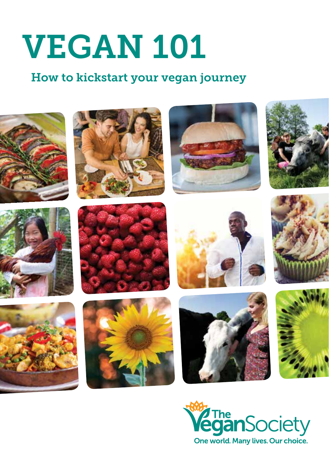# VEGAN 101

### How to kickstart your vegan journey



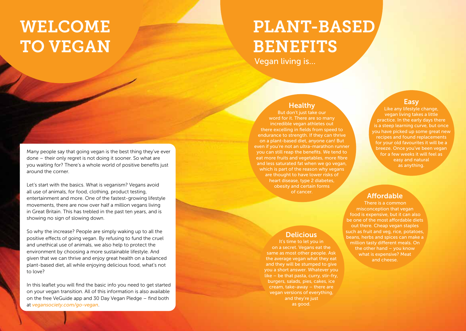## WELCOME TO VEGAN

## PLANT-BASED **BENEFITS**

Vegan living is…

#### **Healthy**

But don't just take our word for it. There are so many incredible vegan athletes out there excelling in fields from speed to endurance to strength. If they can thrive on a plant-based diet, anyone can! But even if you're not an ultra-marathon runner you can still reap the benefits. We tend to eat more fruits and vegetables, more fibre and less saturated fat when we go vegan, which is part of the reason why vegans are thought to have lower risks of heart disease, type 2 diabetes, obesity and certain forms of cancer.

#### Easy

Like any lifestyle change, vegan living takes a little practice. In the early days there is a steep learning curve, but once you have picked up some great new recipes and found replacements for your old favourites it will be a breeze. Once you've been vegan for a few weeks it will feel as easy and natural as anything.

#### **Affordable**

There is a common misconception that vegan food is expensive, but it can also be one of the most affordable diets out there. Cheap vegan staples such as fruit and veg, rice, potatoes, beans, herbs and spices can make a million tasty different meals. On the other hand – you know what is expensive? Meat and cheese.

Many people say that going vegan is the best thing they've ever done – their only regret is not doing it sooner. So what are you waiting for? There's a whole world of positive benefits just around the corner.

Let's start with the basics. What is veganism? Vegans avoid all use of animals, for food, clothing, product testing, entertainment and more. One of the fastest-growing lifestyle movements, there are now over half a million vegans living in Great Britain. This has trebled in the past ten years, and is showing no sign of slowing down.

So why the increase? People are simply waking up to all the positive effects of going vegan. By refusing to fund the cruel and unethical use of animals, we also help to protect the environment by choosing a more sustainable lifestyle. And given that we can thrive and enjoy great health on a balanced plant-based diet, all while enjoying delicious food, what's not to love?

In this leaflet you will find the basic info you need to get started on your vegan transition. All of this information is also available on the free VeGuide app and 30 Day Vegan Pledge – find both at *vegansociety.com/go-vegan*.

#### **Delicious**

It's time to let you in on a secret. Vegans eat the same as most other people. Ask the average vegan what they eat and they will be stumped to give you a short answer. Whatever you like – be that pasta, curry, stir-fry, burgers, salads, pies, cakes, ice cream, take-away – there are vegan versions of everything, and they're just as good.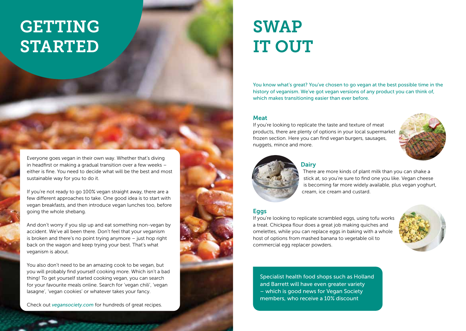## GETTING STARTED

SWAP IT OUT

You know what's great? You've chosen to go vegan at the best possible time in the history of veganism. We've got vegan versions of any product you can think of, which makes transitioning easier than ever before.

#### Meat

If you're looking to replicate the taste and texture of meat products, there are plenty of options in your local supermarket frozen section. Here you can find vegan burgers, sausages, nuggets, mince and more.





#### **Dairy**

There are more kinds of plant milk than you can shake a stick at, so you're sure to find one you like. Vegan cheese is becoming far more widely available, plus vegan yoghurt, cream, ice cream and custard.

#### Eggs

If you're looking to replicate scrambled eggs, using tofu works a treat. Chickpea flour does a great job making quiches and omelettes, while you can replace eggs in baking with a whole host of options from mashed banana to vegetable oil to commercial egg replacer powders.



Specialist health food shops such as Holland and Barrett will have even greater variety – which is good news for Vegan Society members, who receive a 10% discount

Everyone goes vegan in their own way. Whether that's diving in headfirst or making a gradual transition over a few weeks – either is fine. You need to decide what will be the best and most sustainable way for you to do it.

If you're not ready to go 100% vegan straight away, there are a few different approaches to take. One good idea is to start with vegan breakfasts, and then introduce vegan lunches too, before going the whole shebang.

And don't worry if you slip up and eat something non-vegan by accident. We've all been there. Don't feel that your veganism is broken and there's no point trying anymore – just hop right back on the wagon and keep trying your best. That's what veganism is about.

You also don't need to be an amazing cook to be vegan, but you will probably find yourself cooking more. Which isn't a bad thing! To get yourself started cooking vegan, you can search for your favourite meals online. Search for 'vegan chili', 'vegan lasagne', 'vegan cookies' or whatever takes your fancy.

Check out *vegansociety.com* for hundreds of great recipes.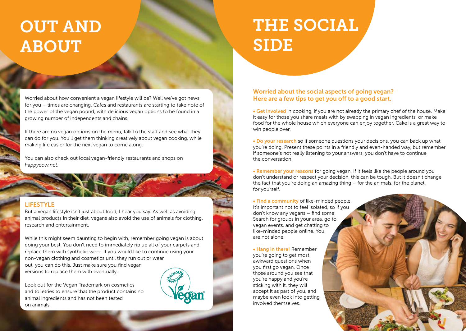## OUT AND ABOUT

## THE SOCIAL SIDE

Worried about how convenient a vegan lifestyle will be? Well we've got news for you – times are changing. Cafes and restaurants are starting to take note of the power of the vegan pound, with delicious vegan options to be found in a growing number of independents and chains.

If there are no vegan options on the menu, talk to the staff and see what they can do for you. You'll get them thinking creatively about vegan cooking, while making life easier for the next vegan to come along.

You can also check out local vegan-friendly restaurants and shops on *happycow.net*.

#### LIFESTYLE

But a vegan lifestyle isn't just about food, I hear you say. As well as avoiding animal products in their diet, vegans also avoid the use of animals for clothing, research and entertainment.

While this might seem daunting to begin with, remember going vegan is about doing your best. You don't need to immediately rip up all of your carpets and replace them with synthetic wool. If you would like to continue using your non-vegan clothing and cosmetics until they run out or wear out, you can do this. Just make sure you find vegan versions to replace them with eventually.

Look out for the Vegan Trademark on cosmetics and toiletries to ensure that the product contains no animal ingredients and has not been tested on animals.



#### Worried about the social aspects of going vegan? Here are a few tips to get you off to a good start.

• Get involved in cooking, if you are not already the primary chef of the house. Make it easy for those you share meals with by swapping in vegan ingredients, or make food for the whole house which everyone can enjoy together. Cake is a great way to win people over.

• Do your research so if someone questions your decisions, you can back up what you're doing. Present these points in a friendly and even-handed way, but remember if someone's not really listening to your answers, you don't have to continue the conversation.

• Remember your reasons for going vegan. If it feels like the people around you don't understand or respect your decision, this can be tough. But it doesn't change the fact that you're doing an amazing thing – for the animals, for the planet, for yourself.

• Find a community of like-minded people. It's important not to feel isolated, so if you don't know any vegans – find some! Search for groups in your area, go to vegan events, and get chatting to like-minded people online. You are not alone.

• Hang in there! Remember you're going to get most awkward questions when you first go vegan. Once those around you see that you're happy and you're sticking with it, they will accept it as part of you, and maybe even look into getting involved themselves.